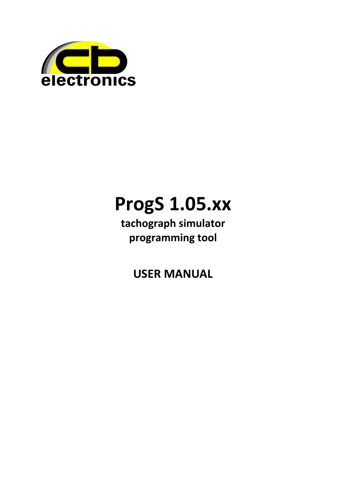

# **ProgS 1.05.xx**

tachograph simulator programming tool

**USER MANUAL**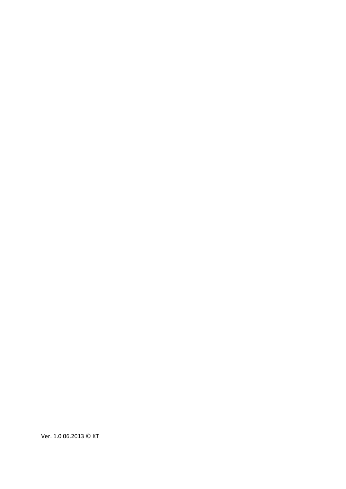Ver. 1.0 06.2013 © KT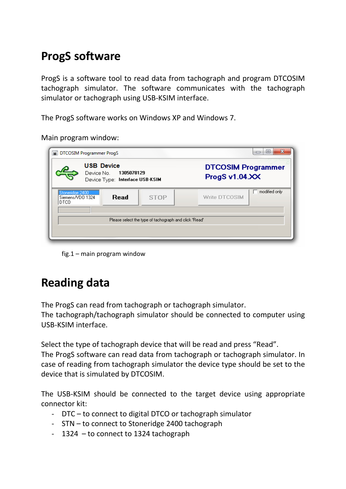#### **ProgS software**

ProgS is a software tool to read data from tachograph and program DTCOSIM tachograph simulator. The software communicates with the tachograph simulator or tachograph using USB-KSIM interface.

The ProgS software works on Windows XP and Windows 7.

Main program window:

|                                             | DTCOSIM Programmer ProgS                                                      | Ж<br>同                                      |
|---------------------------------------------|-------------------------------------------------------------------------------|---------------------------------------------|
|                                             | <b>USB Device</b><br>Device No. 1305078129<br>Device Type: Interface USB-KSIM | <b>DTCOSIM Programmer</b><br>ProgS v1.04.XX |
| Stoneridge 2400<br>Siemens/VDD 1324<br>DTCO | Read<br><b>STOP</b>                                                           | modified only<br>Write DTCOSIM              |
|                                             | Please select the type of tachograph and click 'Read'                         |                                             |

fig.1 – main program window

## **Reading data**

The ProgS can read from tachograph or tachograph simulator.

The tachograph/tachograph simulator should be connected to computer using USB-KSIM interface.

Select the type of tachograph device that will be read and press "Read". The ProgS software can read data from tachograph or tachograph simulator. In case of reading from tachograph simulator the device type should be set to the device that is simulated by DTCOSIM.

The USB-KSIM should be connected to the target device using appropriate connector kit:

- DTC to connect to digital DTCO or tachograph simulator
- STN to connect to Stoneridge 2400 tachograph
- 1324 to connect to 1324 tachograph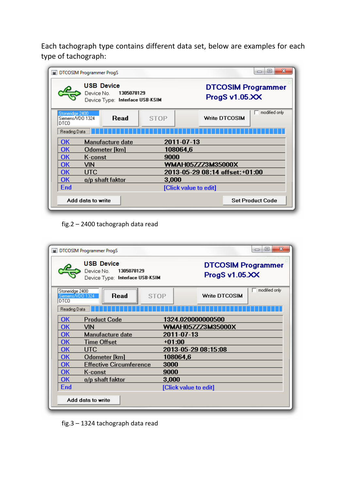Each tachograph type contains different data set, below are examples for each type of tachograph:

|                                              | DTCOSIM Programmer ProgS                                                         |                          | $\mathbf x$<br>冋<br>$\Box$                  |
|----------------------------------------------|----------------------------------------------------------------------------------|--------------------------|---------------------------------------------|
|                                              | <b>USB Device</b><br>Device No.<br>1305078129<br>Device Type: Interface USB-KSIM |                          | <b>DTCOSIM Programmer</b><br>ProgS v1.05.XX |
| Stoneridge 2400<br>Siemens/VDO 1324<br>DTCO. | Read                                                                             | <b>STOP</b>              | modified only<br><b>Write DTCOSIM</b>       |
| Reading Data                                 |                                                                                  |                          |                                             |
| <b>OK</b>                                    | Manufacture date                                                                 | 2011-07-13               |                                             |
| OК                                           | Odometer [km]                                                                    | 108064,6                 |                                             |
| OК                                           | K-const                                                                          | 9000                     |                                             |
| OК                                           | VIN                                                                              | <b>WMAH05ZZZ3M35000X</b> |                                             |
| OK.                                          | <b>UTC</b>                                                                       |                          | 2013-05-29 08:14 offset:+01:00              |
| 0K.                                          | o/p shaft faktor                                                                 | 3,000                    |                                             |
| End                                          |                                                                                  | [Click value to edit]    |                                             |
|                                              | Add data to write                                                                |                          | <b>Set Product Code</b>                     |

fig.2 – 2400 tachograph data read

| <b>USB Device</b><br>Device No.<br>1305078129<br>Device Type: Interface USB-KSIM |                                | <b>DTCOSIM Programmer</b><br>ProgS v1.05.XX |  |  |  |
|----------------------------------------------------------------------------------|--------------------------------|---------------------------------------------|--|--|--|
| Stoneridge 2400<br>Siemens/VDD 1324<br><b>DTCO</b>                               | Read<br><b>STOP</b>            | modified only<br>Write DTCOSIM              |  |  |  |
| Reading Data                                                                     |                                |                                             |  |  |  |
| <b>OK</b>                                                                        | <b>Product Code</b>            | 1324.020000000500                           |  |  |  |
| OK                                                                               | <b>VIN</b>                     | <b>WMAH05ZZZ3M35000X</b>                    |  |  |  |
| OK                                                                               | <b>Manufacture date</b>        | 2011-07-13                                  |  |  |  |
| <b>OK</b>                                                                        | <b>Time Offset</b>             | $+01:00$                                    |  |  |  |
| OK                                                                               | <b>UTC</b>                     | 2013-05-29 08:15:08                         |  |  |  |
| OK                                                                               | Odometer [km]                  | 108064,6                                    |  |  |  |
| <b>OK</b>                                                                        | <b>Effective Circumference</b> | 3000                                        |  |  |  |
| 0K.                                                                              | K-const                        | 9000                                        |  |  |  |
| OK                                                                               | o/p shaft faktor               | 3,000                                       |  |  |  |
| End                                                                              |                                | [Click value to edit]                       |  |  |  |
|                                                                                  | Add data to write              |                                             |  |  |  |

fig.3 – 1324 tachograph data read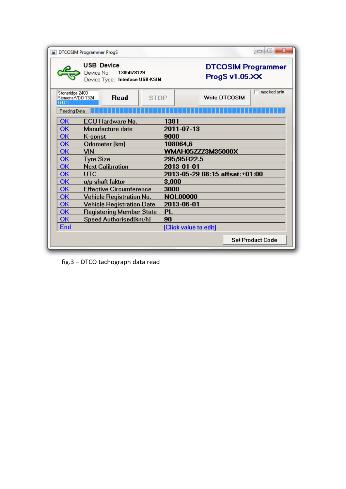| DTCOSIM Programmer ProgS                           |                  |                                                                               |             |                                 |                      | $\mathbf{x}$<br>$\Box$<br>$\Box$ |
|----------------------------------------------------|------------------|-------------------------------------------------------------------------------|-------------|---------------------------------|----------------------|----------------------------------|
|                                                    |                  | <b>USB Device</b><br>Device No. 1305078129<br>Device Type: Interface USB-KSIM |             |                                 | ProgS v1.05.XX       | <b>DTCOSIM Programmer</b>        |
| Stoneridge 2400<br>Siemens/VDO 1324<br><b>DTCO</b> |                  | Read                                                                          | <b>STOP</b> |                                 | <b>Write DTCOSIM</b> | modified only                    |
| Reading Data                                       |                  |                                                                               |             |                                 |                      |                                  |
| OK                                                 |                  | ECU Hardware No.                                                              |             | 1381                            |                      |                                  |
| OK                                                 |                  | Manufacture date                                                              |             | 2011-07-13                      |                      |                                  |
| OK                                                 | <b>K-const</b>   |                                                                               |             | 9000                            |                      |                                  |
| OK                                                 |                  | Odometer [km]                                                                 |             | 108064,6                        |                      |                                  |
| OK                                                 | VIN              |                                                                               |             | <b>WMAH05ZZZ3M35000X</b>        |                      |                                  |
| ОК                                                 | <b>Tyre Size</b> |                                                                               |             | 295/95R22.5                     |                      |                                  |
| OK                                                 |                  | <b>Next Calibration</b>                                                       |             | 2013-01-01                      |                      |                                  |
| OK                                                 | <b>UTC</b>       |                                                                               |             | 2013-05-29 08:15 offset: +01:00 |                      |                                  |
| OK                                                 |                  | o/p shaft faktor                                                              |             | 3,000                           |                      |                                  |
| OK                                                 |                  | <b>Effective Circumference</b>                                                |             | 3000                            |                      |                                  |
| OK                                                 |                  | <b>Vehicle Registration No.</b>                                               |             | <b>NOL00000</b>                 |                      |                                  |
| OK                                                 |                  | <b>Vehicle Registration Date</b>                                              |             | 2013-06-01                      |                      |                                  |
| OK                                                 |                  | <b>Registering Member State</b>                                               |             | PL                              |                      |                                  |
| OK                                                 |                  | Speed Authorised[km/h]                                                        |             | 90                              |                      |                                  |
| End                                                |                  |                                                                               |             | [Click value to edit]           |                      |                                  |
|                                                    |                  |                                                                               |             |                                 |                      | <b>Set Product Code</b>          |

fig.3 - DTCO tachograph data read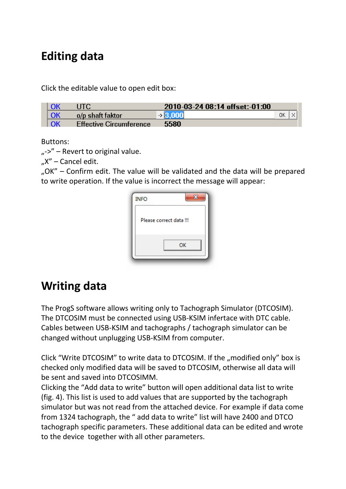#### **Editing data**

Click the editable value to open edit box:

|    |                                | 2010-03-24 08:14 offset:-01:00 |  |
|----|--------------------------------|--------------------------------|--|
| OK | o/p shaft faktor               | OΚ<br>- 123                    |  |
| OK | <b>Effective Circumference</b> | 5580                           |  |

Buttons:

 $L^{\infty}$  – Revert to original value.

"X" – Cancel edit.

"OK" – Confirm edit. The value will be validated and the data will be prepared to write operation. If the value is incorrect the message will appear:

| <b>INFO</b>             |    |
|-------------------------|----|
| Please correct data !!! |    |
|                         | OK |

#### **Writing data**

The ProgS software allows writing only to Tachograph Simulator (DTCOSIM). The DTCOSIM must be connected using USB-KSIM infertace with DTC cable. Cables between USB-KSIM and tachographs / tachograph simulator can be changed without unplugging USB-KSIM from computer.

Click "Write DTCOSIM" to write data to DTCOSIM. If the "modified only" box is checked only modified data will be saved to DTCOSIM, otherwise all data will be sent and saved into DTCOSIMM.

Clicking the "Add data to write" button will open additional data list to write (fig. 4). This list is used to add values that are supported by the tachograph simulator but was not read from the attached device. For example if data come from 1324 tachograph, the " add data to write" list will have 2400 and DTCO tachograph specific parameters. These additional data can be edited and wrote to the device together with all other parameters.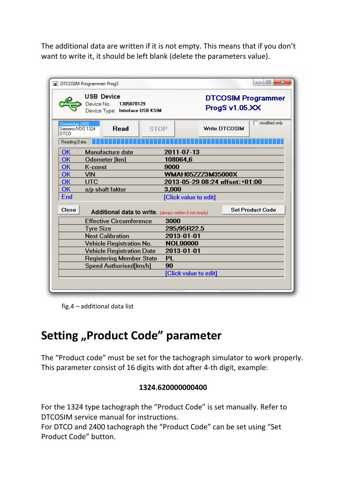The additional data are written if it is not empty. This means that if you don't want to write it, it should be left blank (delete the parameters value).

| <b>USB Device</b><br>Device No.<br>1305078129<br>Device Type: Interface USB-KSIM |                                                         |                   | <b>DTCOSIM Programmer</b><br>ProgS v1.05.XX |                      |                         |  |
|----------------------------------------------------------------------------------|---------------------------------------------------------|-------------------|---------------------------------------------|----------------------|-------------------------|--|
| Stoneridge 2400<br>Siemens/VDD 1324<br><b>DTCO</b>                               | <b>Read</b>                                             | <b>STOP</b>       |                                             | <b>Write DTCOSIM</b> | modified only           |  |
| Reading Data                                                                     |                                                         |                   |                                             |                      |                         |  |
| OK                                                                               | <b>Manufacture date</b>                                 |                   | 2011-07-13                                  |                      |                         |  |
| OK                                                                               | Odometer [km]                                           | 108064,6          |                                             |                      |                         |  |
| OK                                                                               | K-const                                                 | 9000              |                                             |                      |                         |  |
| OK                                                                               | VIN                                                     | WMAH05ZZZ3M35000X |                                             |                      |                         |  |
| <b>OK</b>                                                                        | <b>UTC</b>                                              |                   | 2013-05-29 08:24 offset: +01:00             |                      |                         |  |
| OK                                                                               | o/p shaft faktor                                        | 3,000             |                                             |                      |                         |  |
| End                                                                              |                                                         |                   | [Click value to edit]                       |                      |                         |  |
| Close                                                                            | Additional data to write. [always written if not empty] |                   |                                             |                      | <b>Set Product Code</b> |  |
|                                                                                  | <b>Effective Circumference</b>                          | 3000              |                                             |                      |                         |  |
|                                                                                  | <b>Tyre Size</b>                                        |                   | 295/95R22.5                                 |                      |                         |  |
|                                                                                  | <b>Next Calibration</b>                                 |                   | 2013-01-01                                  |                      |                         |  |
|                                                                                  | <b>Vehicle Registration No.</b>                         |                   | <b>NOL00000</b>                             |                      |                         |  |
|                                                                                  | <b>Vehicle Registration Date</b>                        |                   | 2013-01-01                                  |                      |                         |  |
|                                                                                  | <b>Registering Member State</b>                         | <b>PL</b>         |                                             |                      |                         |  |
|                                                                                  | Speed Authorised[km/h]                                  | 90                |                                             |                      |                         |  |
|                                                                                  |                                                         |                   | [Click value to edit]                       |                      |                         |  |

fig.4 – additional data list

### **Setting "Product Code" parameter**

The "Product code" must be set for the tachograph simulator to work properly. This parameter consist of 16 digits with dot after 4-th digit, example:

#### **1324.620000000400**

For the 1324 type tachograph the "Product Code" is set manually. Refer to DTCOSIM service manual for instructions.

For DTCO and 2400 tachograph the "Product Code" can be set using "Set Product Code" button.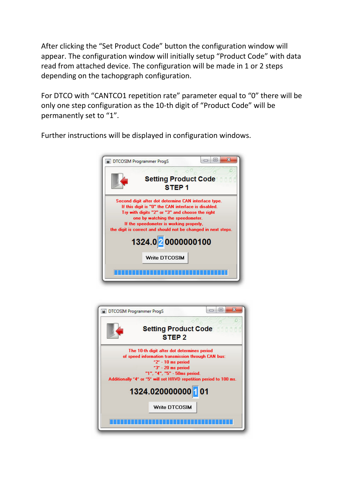After clicking the "Set Product Code" button the configuration window will appear. The configuration window will initially setup "Product Code" with data read from attached device. The configuration will be made in 1 or 2 steps depending on the tachopgraph configuration.

For DTCO with "CANTCO1 repetition rate" parameter equal to "0" there will be only one step configuration as the 10-th digit of "Product Code" will be permanently set to "1".

Further instructions will be displayed in configuration windows.